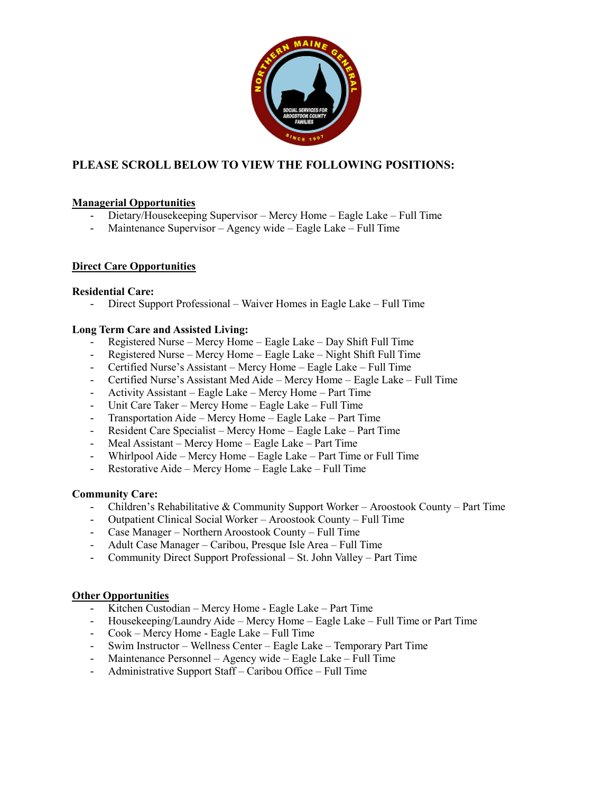

### **PLEASE SCROLL BELOW TO VIEW THE FOLLOWING POSITIONS:**

#### **Managerial Opportunities**

- Dietary/Housekeeping Supervisor Mercy Home Eagle Lake Full Time
- Maintenance Supervisor Agency wide Eagle Lake Full Time

#### **Direct Care Opportunities**

#### **Residential Care:**

- Direct Support Professional – Waiver Homes in Eagle Lake – Full Time

#### **Long Term Care and Assisted Living:**

- Registered Nurse Mercy Home Eagle Lake Day Shift Full Time
- Registered Nurse Mercy Home Eagle Lake Night Shift Full Time
- Certified Nurse's Assistant Mercy Home Eagle Lake Full Time
- Certified Nurse's Assistant Med Aide Mercy Home Eagle Lake Full Time
- Activity Assistant Eagle Lake Mercy Home Part Time
- Unit Care Taker Mercy Home Eagle Lake Full Time
- Transportation Aide Mercy Home Eagle Lake Part Time
- Resident Care Specialist Mercy Home Eagle Lake Part Time
- Meal Assistant Mercy Home Eagle Lake Part Time
- Whirlpool Aide Mercy Home Eagle Lake Part Time or Full Time
- Restorative Aide Mercy Home Eagle Lake Full Time

#### **Community Care:**

- Children's Rehabilitative & Community Support Worker Aroostook County Part Time
- Outpatient Clinical Social Worker Aroostook County Full Time
- Case Manager Northern Aroostook County Full Time
- Adult Case Manager Caribou, Presque Isle Area Full Time
- Community Direct Support Professional St. John Valley Part Time

#### **Other Opportunities**

- Kitchen Custodian Mercy Home Eagle Lake Part Time
- Housekeeping/Laundry Aide Mercy Home Eagle Lake Full Time or Part Time
- Cook Mercy Home Eagle Lake Full Time
- Swim Instructor Wellness Center Eagle Lake Temporary Part Time
- Maintenance Personnel Agency wide Eagle Lake Full Time
- Administrative Support Staff Caribou Office Full Time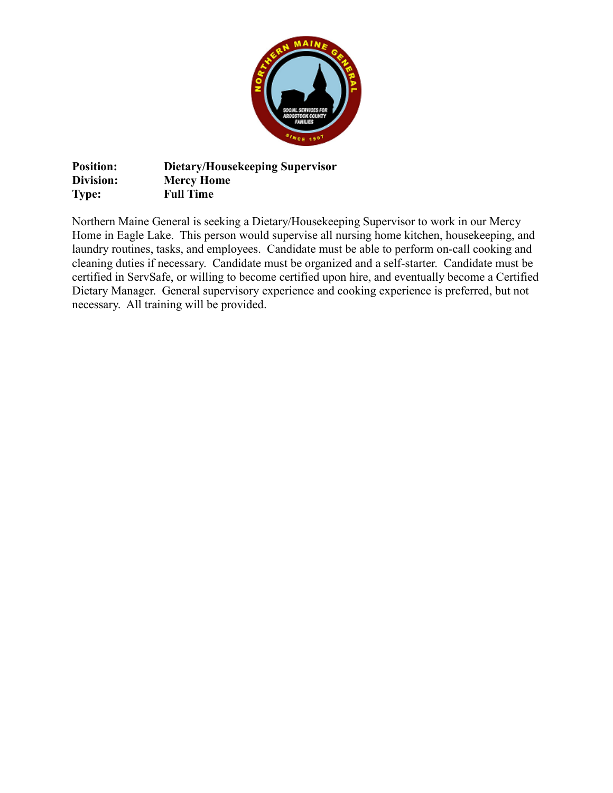

**Position: Dietary/Housekeeping Supervisor Division: Mercy Home Type: Full Time**

Northern Maine General is seeking a Dietary/Housekeeping Supervisor to work in our Mercy Home in Eagle Lake. This person would supervise all nursing home kitchen, housekeeping, and laundry routines, tasks, and employees. Candidate must be able to perform on-call cooking and cleaning duties if necessary. Candidate must be organized and a self-starter. Candidate must be certified in ServSafe, or willing to become certified upon hire, and eventually become a Certified Dietary Manager. General supervisory experience and cooking experience is preferred, but not necessary. All training will be provided.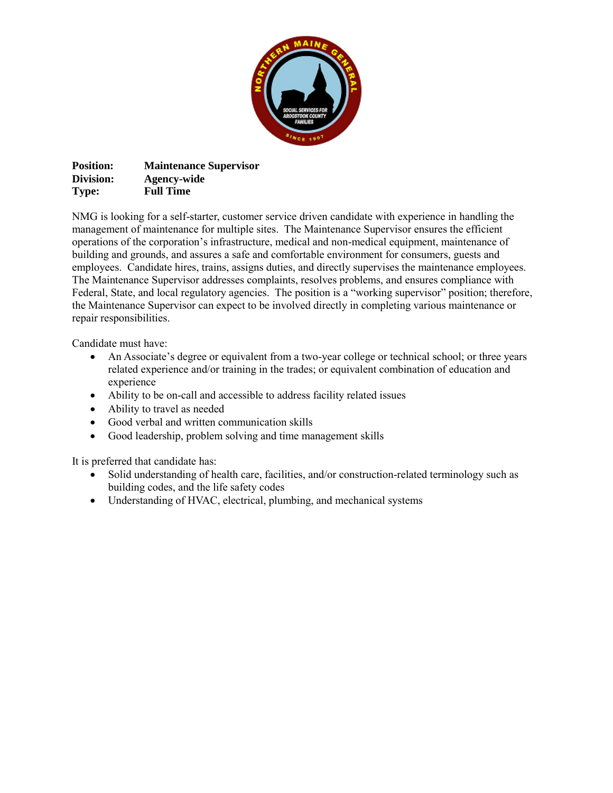

**Position: Maintenance Supervisor Division: Agency-wide Type: Full Time**

NMG is looking for a self-starter, customer service driven candidate with experience in handling the management of maintenance for multiple sites. The Maintenance Supervisor ensures the efficient operations of the corporation's infrastructure, medical and non-medical equipment, maintenance of building and grounds, and assures a safe and comfortable environment for consumers, guests and employees. Candidate hires, trains, assigns duties, and directly supervises the maintenance employees. The Maintenance Supervisor addresses complaints, resolves problems, and ensures compliance with Federal, State, and local regulatory agencies. The position is a "working supervisor" position; therefore, the Maintenance Supervisor can expect to be involved directly in completing various maintenance or repair responsibilities.

Candidate must have:

- An Associate's degree or equivalent from a two-year college or technical school; or three years related experience and/or training in the trades; or equivalent combination of education and experience
- Ability to be on-call and accessible to address facility related issues
- Ability to travel as needed
- Good verbal and written communication skills
- Good leadership, problem solving and time management skills

It is preferred that candidate has:

- Solid understanding of health care, facilities, and/or construction-related terminology such as building codes, and the life safety codes
- Understanding of HVAC, electrical, plumbing, and mechanical systems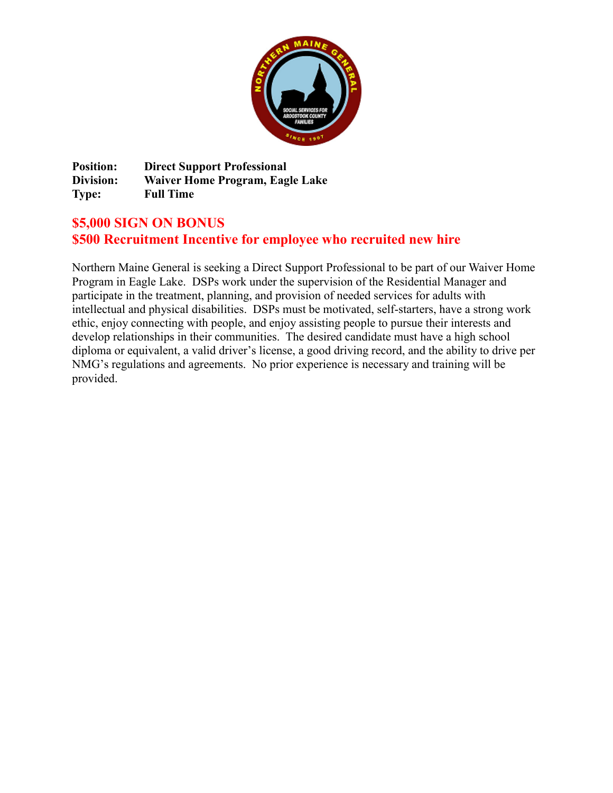

**Position: Direct Support Professional Division: Waiver Home Program, Eagle Lake Type: Full Time** 

## **\$5,000 SIGN ON BONUS \$500 Recruitment Incentive for employee who recruited new hire**

Northern Maine General is seeking a Direct Support Professional to be part of our Waiver Home Program in Eagle Lake. DSPs work under the supervision of the Residential Manager and participate in the treatment, planning, and provision of needed services for adults with intellectual and physical disabilities. DSPs must be motivated, self-starters, have a strong work ethic, enjoy connecting with people, and enjoy assisting people to pursue their interests and develop relationships in their communities. The desired candidate must have a high school diploma or equivalent, a valid driver's license, a good driving record, and the ability to drive per NMG's regulations and agreements. No prior experience is necessary and training will be provided.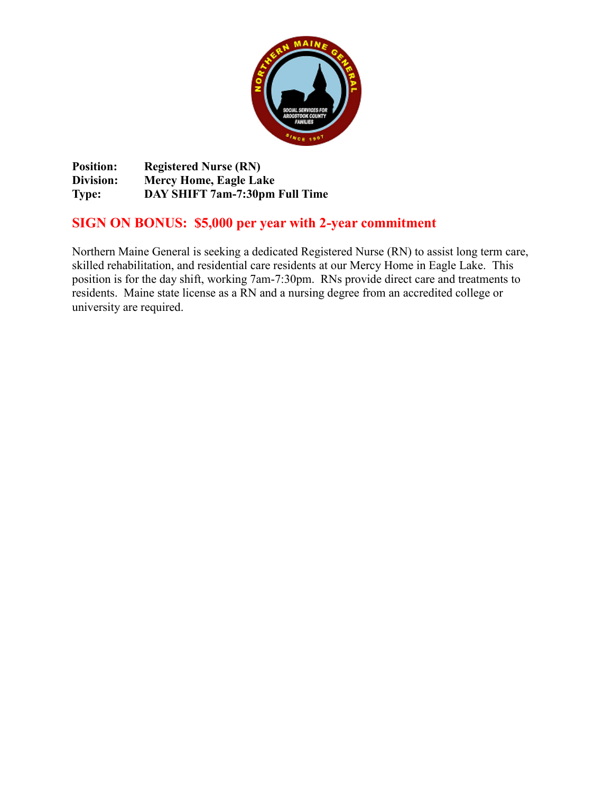

**Position: Registered Nurse (RN) Division: Mercy Home, Eagle Lake Type: DAY SHIFT 7am-7:30pm Full Time** 

# **SIGN ON BONUS: \$5,000 per year with 2-year commitment**

Northern Maine General is seeking a dedicated Registered Nurse (RN) to assist long term care, skilled rehabilitation, and residential care residents at our Mercy Home in Eagle Lake. This position is for the day shift, working 7am-7:30pm. RNs provide direct care and treatments to residents. Maine state license as a RN and a nursing degree from an accredited college or university are required.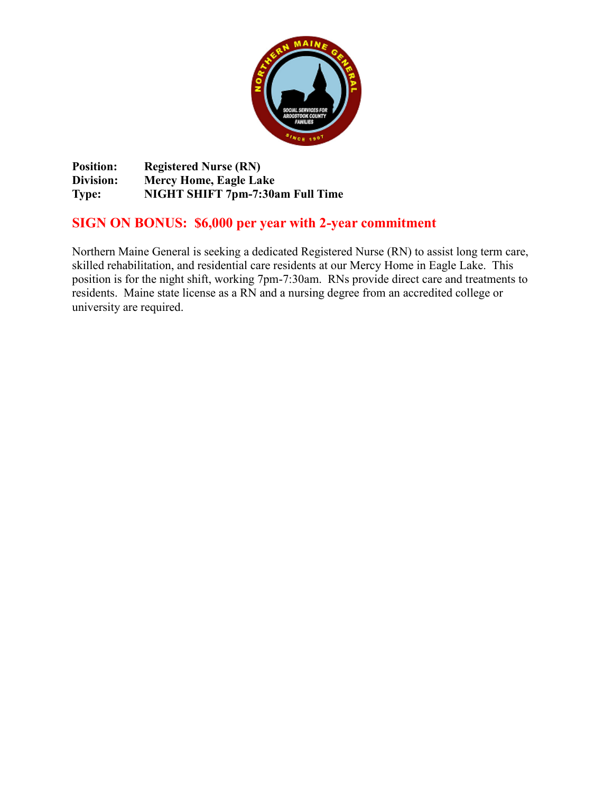

**Position: Registered Nurse (RN) Division: Mercy Home, Eagle Lake Type: NIGHT SHIFT 7pm-7:30am Full Time** 

# **SIGN ON BONUS: \$6,000 per year with 2-year commitment**

Northern Maine General is seeking a dedicated Registered Nurse (RN) to assist long term care, skilled rehabilitation, and residential care residents at our Mercy Home in Eagle Lake. This position is for the night shift, working 7pm-7:30am. RNs provide direct care and treatments to residents. Maine state license as a RN and a nursing degree from an accredited college or university are required.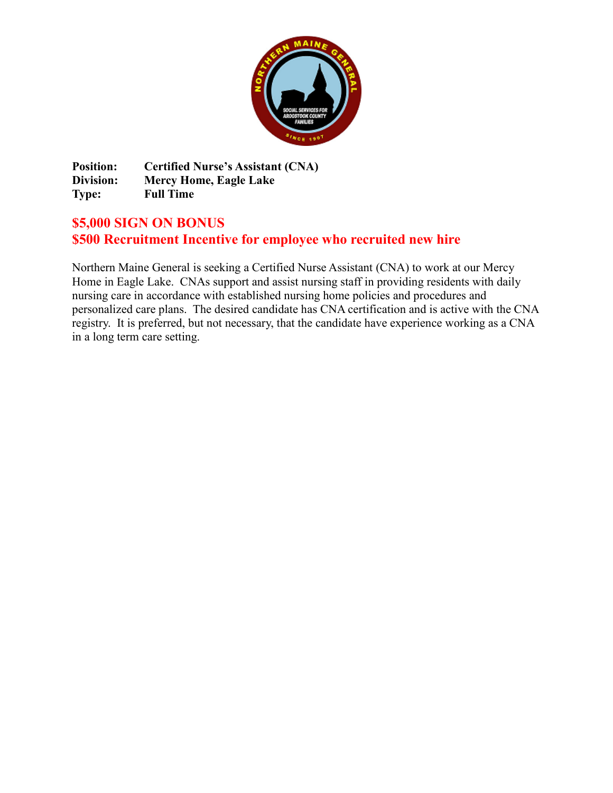

**Position: Certified Nurse's Assistant (CNA) Division: Mercy Home, Eagle Lake Type: Full Time** 

# **\$5,000 SIGN ON BONUS \$500 Recruitment Incentive for employee who recruited new hire**

Northern Maine General is seeking a Certified Nurse Assistant (CNA) to work at our Mercy Home in Eagle Lake. CNAs support and assist nursing staff in providing residents with daily nursing care in accordance with established nursing home policies and procedures and personalized care plans. The desired candidate has CNA certification and is active with the CNA registry. It is preferred, but not necessary, that the candidate have experience working as a CNA in a long term care setting.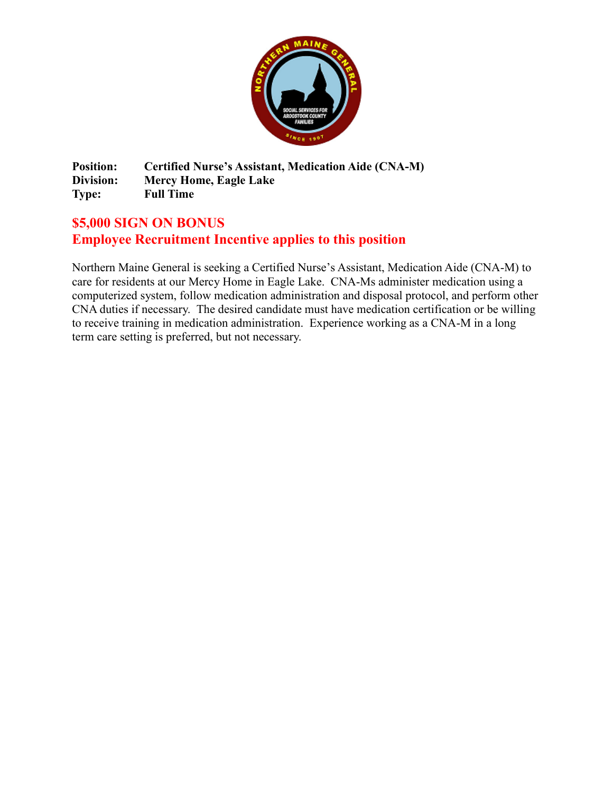

**Position: Certified Nurse's Assistant, Medication Aide (CNA-M) Division: Mercy Home, Eagle Lake Type: Full Time**

# **\$5,000 SIGN ON BONUS Employee Recruitment Incentive applies to this position**

Northern Maine General is seeking a Certified Nurse's Assistant, Medication Aide (CNA-M) to care for residents at our Mercy Home in Eagle Lake. CNA-Ms administer medication using a computerized system, follow medication administration and disposal protocol, and perform other CNA duties if necessary. The desired candidate must have medication certification or be willing to receive training in medication administration. Experience working as a CNA-M in a long term care setting is preferred, but not necessary.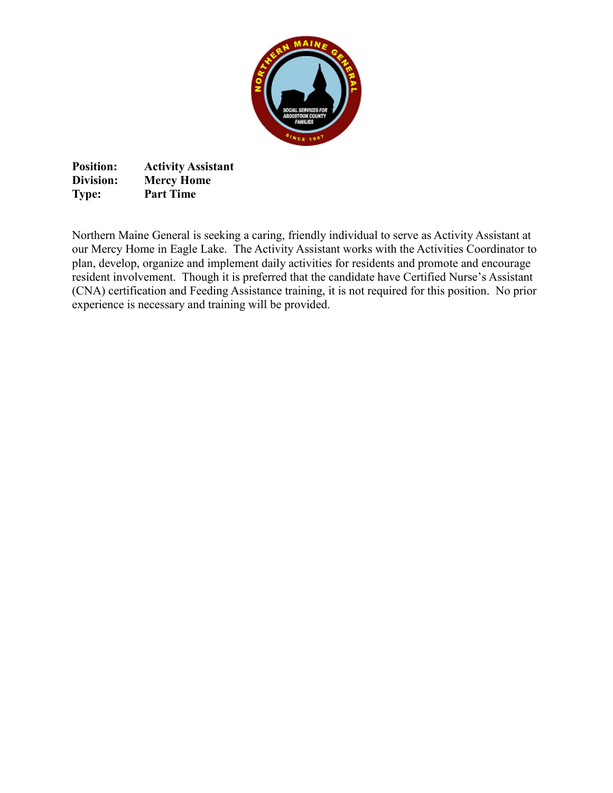

**Position: Activity Assistant Division: Mercy Home Type: Part Time**

Northern Maine General is seeking a caring, friendly individual to serve as Activity Assistant at our Mercy Home in Eagle Lake. The Activity Assistant works with the Activities Coordinator to plan, develop, organize and implement daily activities for residents and promote and encourage resident involvement. Though it is preferred that the candidate have Certified Nurse's Assistant (CNA) certification and Feeding Assistance training, it is not required for this position. No prior experience is necessary and training will be provided.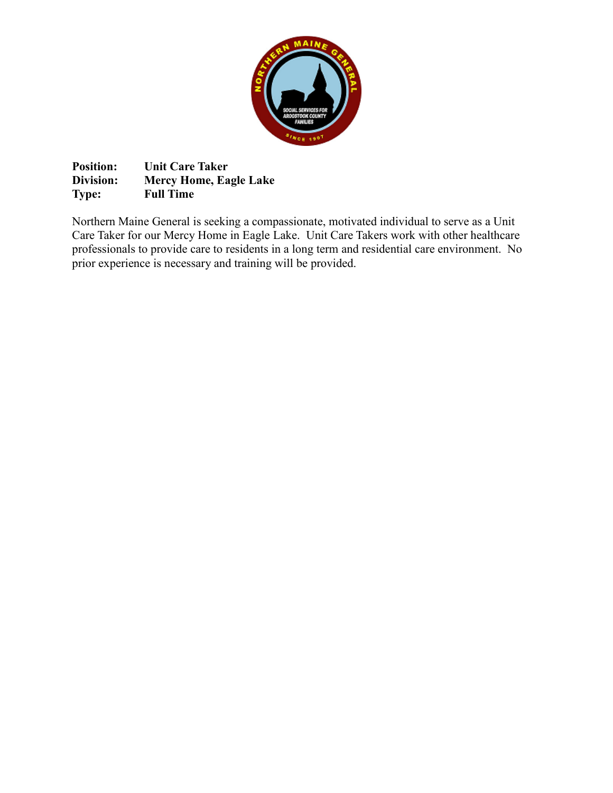

**Position:** Unit Care Taker<br>Division: Mercy Home, Ea **Division: Mercy Home, Eagle Lake Type: Full Time**

Northern Maine General is seeking a compassionate, motivated individual to serve as a Unit Care Taker for our Mercy Home in Eagle Lake. Unit Care Takers work with other healthcare professionals to provide care to residents in a long term and residential care environment. No prior experience is necessary and training will be provided.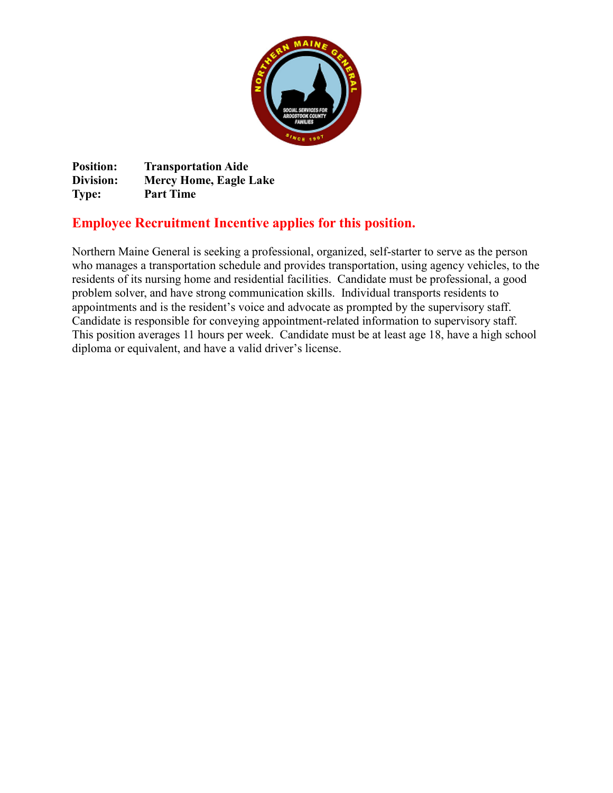

**Position: Transportation Aide Division: Mercy Home, Eagle Lake Type: Part Time** 

# **Employee Recruitment Incentive applies for this position.**

Northern Maine General is seeking a professional, organized, self-starter to serve as the person who manages a transportation schedule and provides transportation, using agency vehicles, to the residents of its nursing home and residential facilities. Candidate must be professional, a good problem solver, and have strong communication skills. Individual transports residents to appointments and is the resident's voice and advocate as prompted by the supervisory staff. Candidate is responsible for conveying appointment-related information to supervisory staff. This position averages 11 hours per week. Candidate must be at least age 18, have a high school diploma or equivalent, and have a valid driver's license.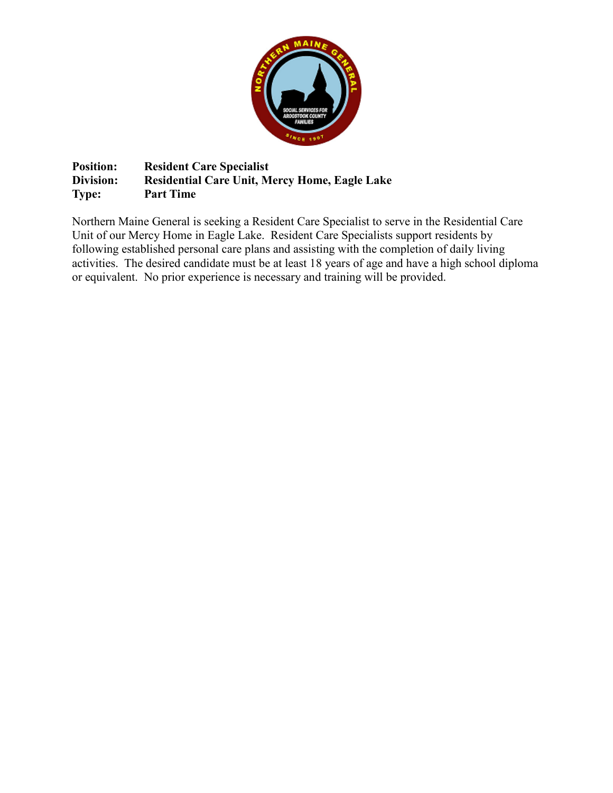

**Position: Resident Care Specialist Division: Residential Care Unit, Mercy Home, Eagle Lake Type: Part Time** 

Northern Maine General is seeking a Resident Care Specialist to serve in the Residential Care Unit of our Mercy Home in Eagle Lake. Resident Care Specialists support residents by following established personal care plans and assisting with the completion of daily living activities. The desired candidate must be at least 18 years of age and have a high school diploma or equivalent. No prior experience is necessary and training will be provided.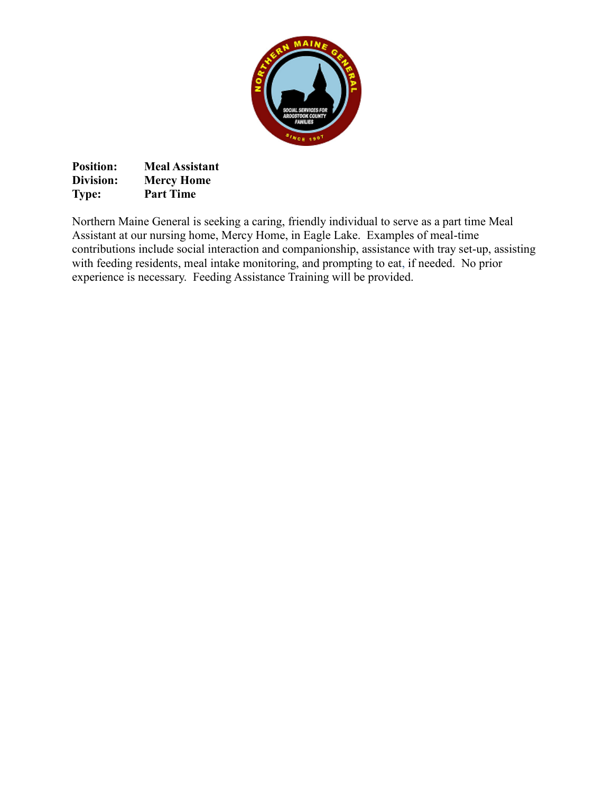

| <b>Position:</b> | <b>Meal Assistant</b> |
|------------------|-----------------------|
| Division:        | <b>Mercy Home</b>     |
| <b>Type:</b>     | <b>Part Time</b>      |

Northern Maine General is seeking a caring, friendly individual to serve as a part time Meal Assistant at our nursing home, Mercy Home, in Eagle Lake. Examples of meal-time contributions include social interaction and companionship, assistance with tray set-up, assisting with feeding residents, meal intake monitoring, and prompting to eat, if needed. No prior experience is necessary. Feeding Assistance Training will be provided.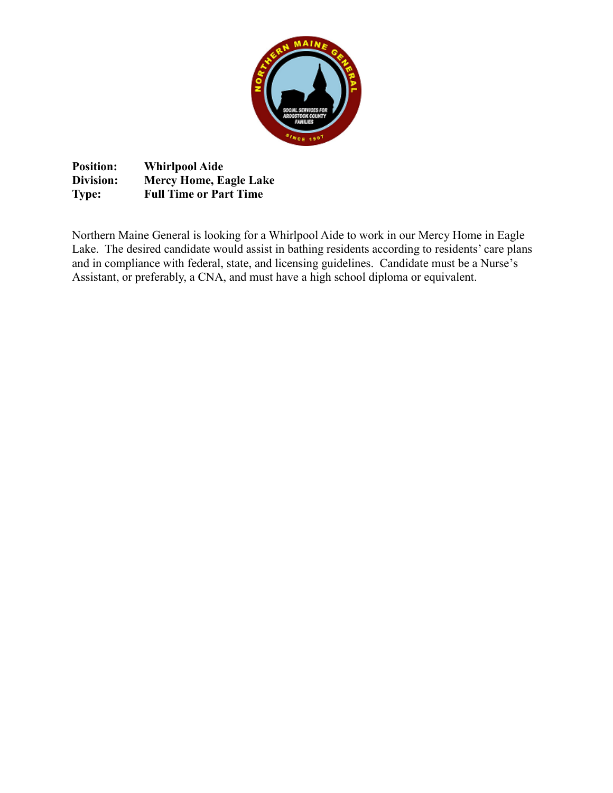

**Position: Whirlpool Aide Division: Mercy Home, Eagle Lake Type: Full Time or Part Time**

Northern Maine General is looking for a Whirlpool Aide to work in our Mercy Home in Eagle Lake. The desired candidate would assist in bathing residents according to residents' care plans and in compliance with federal, state, and licensing guidelines. Candidate must be a Nurse's Assistant, or preferably, a CNA, and must have a high school diploma or equivalent.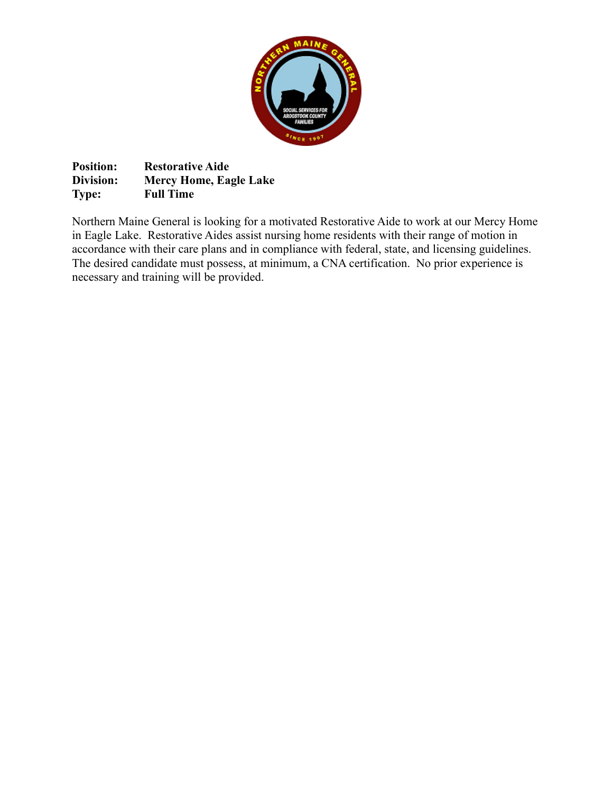

**Position: Restorative Aide**<br>**Division: Mercy Home, Eag Division: Mercy Home, Eagle Lake Type: Full Time**

Northern Maine General is looking for a motivated Restorative Aide to work at our Mercy Home in Eagle Lake. Restorative Aides assist nursing home residents with their range of motion in accordance with their care plans and in compliance with federal, state, and licensing guidelines. The desired candidate must possess, at minimum, a CNA certification. No prior experience is necessary and training will be provided.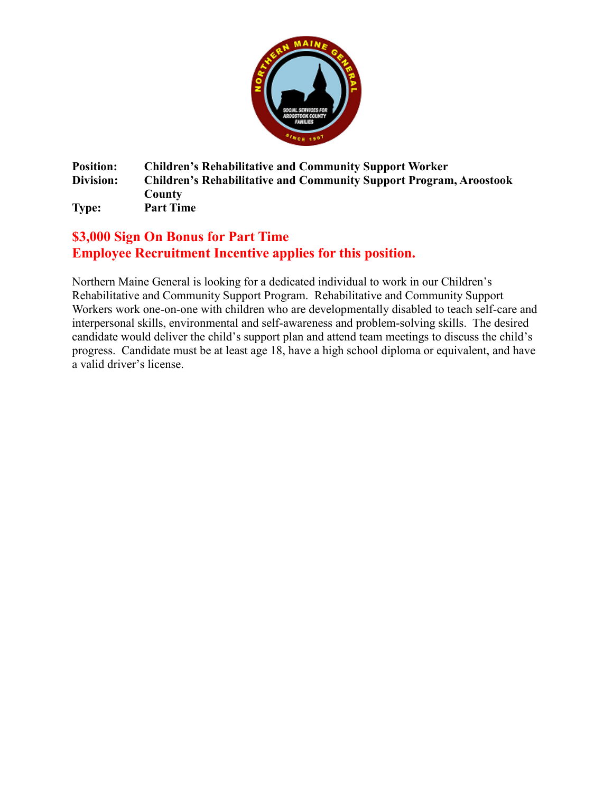

#### **Position: Children's Rehabilitative and Community Support Worker Division: Children's Rehabilitative and Community Support Program, Aroostook County Type: Part Time**

### **\$3,000 Sign On Bonus for Part Time Employee Recruitment Incentive applies for this position.**

Northern Maine General is looking for a dedicated individual to work in our Children's Rehabilitative and Community Support Program. Rehabilitative and Community Support Workers work one-on-one with children who are developmentally disabled to teach self-care and interpersonal skills, environmental and self-awareness and problem-solving skills. The desired candidate would deliver the child's support plan and attend team meetings to discuss the child's progress. Candidate must be at least age 18, have a high school diploma or equivalent, and have a valid driver's license.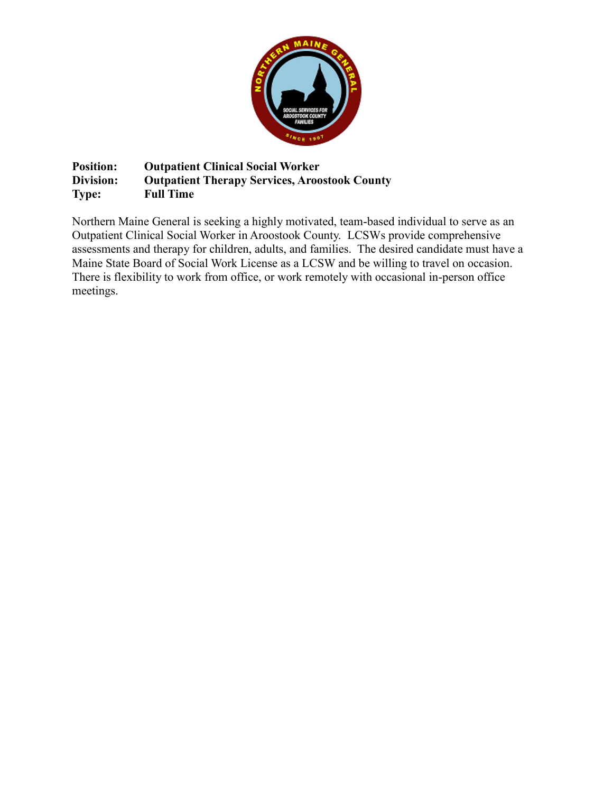

**Position: Outpatient Clinical Social Worker Division: Outpatient Therapy Services, Aroostook County Type: Full Time** 

Northern Maine General is seeking a highly motivated, team-based individual to serve as an Outpatient Clinical Social Worker in Aroostook County. LCSWs provide comprehensive assessments and therapy for children, adults, and families. The desired candidate must have a Maine State Board of Social Work License as a LCSW and be willing to travel on occasion. There is flexibility to work from office, or work remotely with occasional in-person office meetings.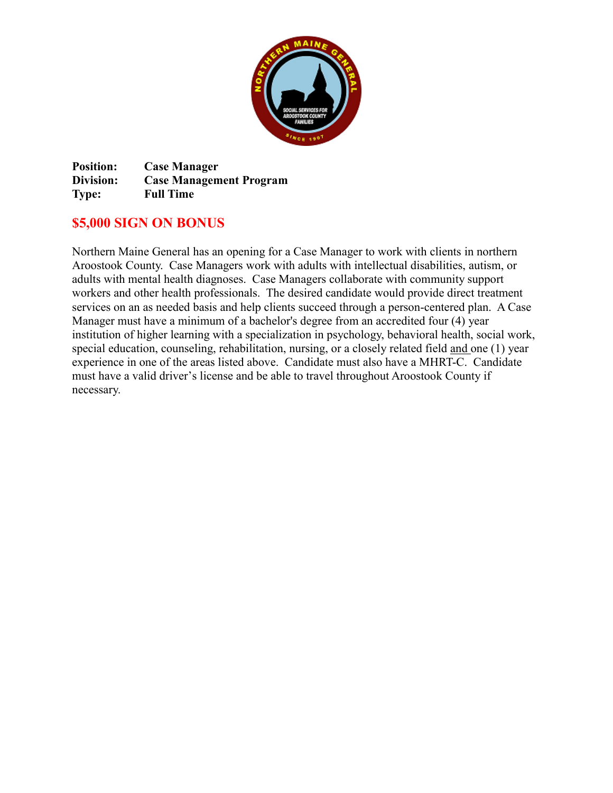

**Position: Case Manager Division: Case Management Program Type: Full Time**

### **\$5,000 SIGN ON BONUS**

Northern Maine General has an opening for a Case Manager to work with clients in northern Aroostook County. Case Managers work with adults with intellectual disabilities, autism, or adults with mental health diagnoses. Case Managers collaborate with community support workers and other health professionals. The desired candidate would provide direct treatment services on an as needed basis and help clients succeed through a person-centered plan. A Case Manager must have a minimum of a bachelor's degree from an accredited four (4) year institution of higher learning with a specialization in psychology, behavioral health, social work, special education, counseling, rehabilitation, nursing, or a closely related field and one (1) year experience in one of the areas listed above. Candidate must also have a MHRT-C. Candidate must have a valid driver's license and be able to travel throughout Aroostook County if necessary.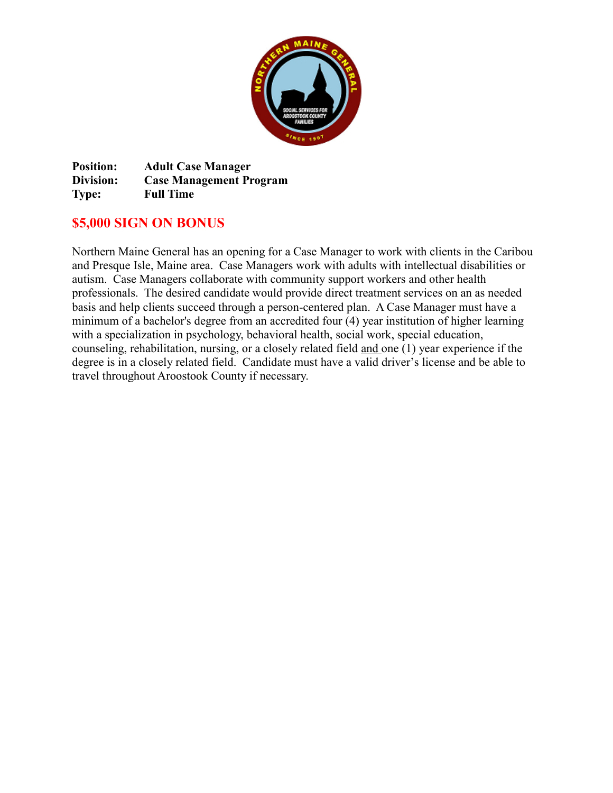

**Position: Adult Case Manager Division: Case Management Program Type: Full Time**

### **\$5,000 SIGN ON BONUS**

Northern Maine General has an opening for a Case Manager to work with clients in the Caribou and Presque Isle, Maine area. Case Managers work with adults with intellectual disabilities or autism. Case Managers collaborate with community support workers and other health professionals. The desired candidate would provide direct treatment services on an as needed basis and help clients succeed through a person-centered plan. A Case Manager must have a minimum of a bachelor's degree from an accredited four (4) year institution of higher learning with a specialization in psychology, behavioral health, social work, special education, counseling, rehabilitation, nursing, or a closely related field and one (1) year experience if the degree is in a closely related field. Candidate must have a valid driver's license and be able to travel throughout Aroostook County if necessary.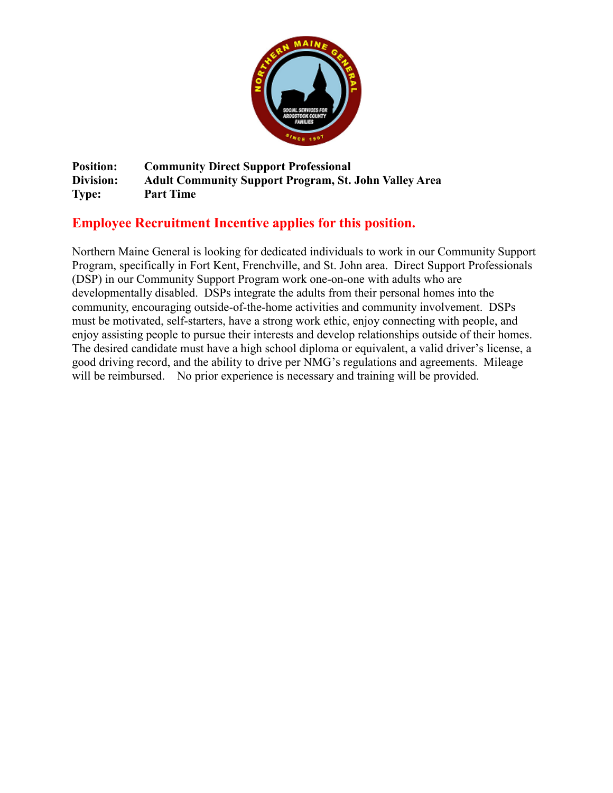

**Position: Community Direct Support Professional Division: Adult Community Support Program, St. John Valley Area Type: Part Time**

### **Employee Recruitment Incentive applies for this position.**

Northern Maine General is looking for dedicated individuals to work in our Community Support Program, specifically in Fort Kent, Frenchville, and St. John area. Direct Support Professionals (DSP) in our Community Support Program work one-on-one with adults who are developmentally disabled. DSPs integrate the adults from their personal homes into the community, encouraging outside-of-the-home activities and community involvement. DSPs must be motivated, self-starters, have a strong work ethic, enjoy connecting with people, and enjoy assisting people to pursue their interests and develop relationships outside of their homes. The desired candidate must have a high school diploma or equivalent, a valid driver's license, a good driving record, and the ability to drive per NMG's regulations and agreements. Mileage will be reimbursed. No prior experience is necessary and training will be provided.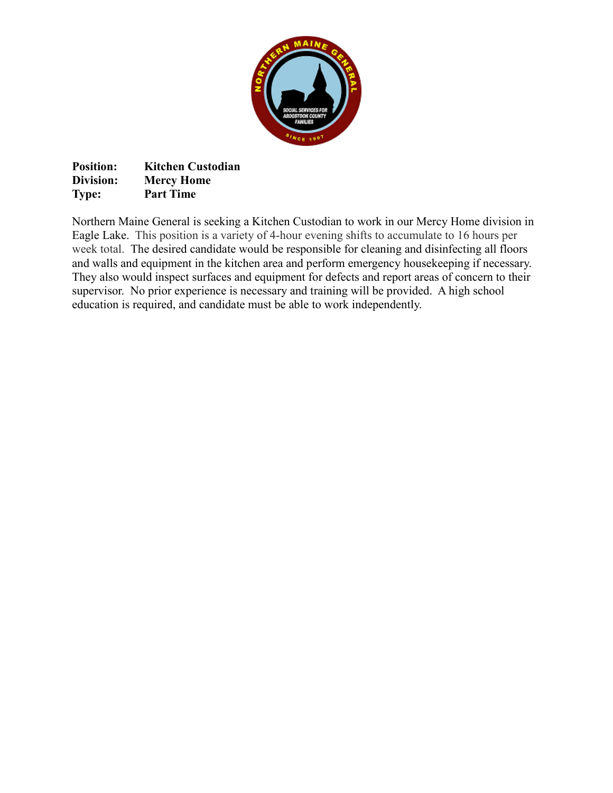

| <b>Position:</b> | <b>Kitchen Custodian</b> |
|------------------|--------------------------|
| Division:        | <b>Mercy Home</b>        |
| <b>Type:</b>     | <b>Part Time</b>         |

Northern Maine General is seeking a Kitchen Custodian to work in our Mercy Home division in Eagle Lake. This position is a variety of 4-hour evening shifts to accumulate to 16 hours per week total. The desired candidate would be responsible for cleaning and disinfecting all floors and walls and equipment in the kitchen area and perform emergency housekeeping if necessary. They also would inspect surfaces and equipment for defects and report areas of concern to their supervisor. No prior experience is necessary and training will be provided. A high school education is required, and candidate must be able to work independently.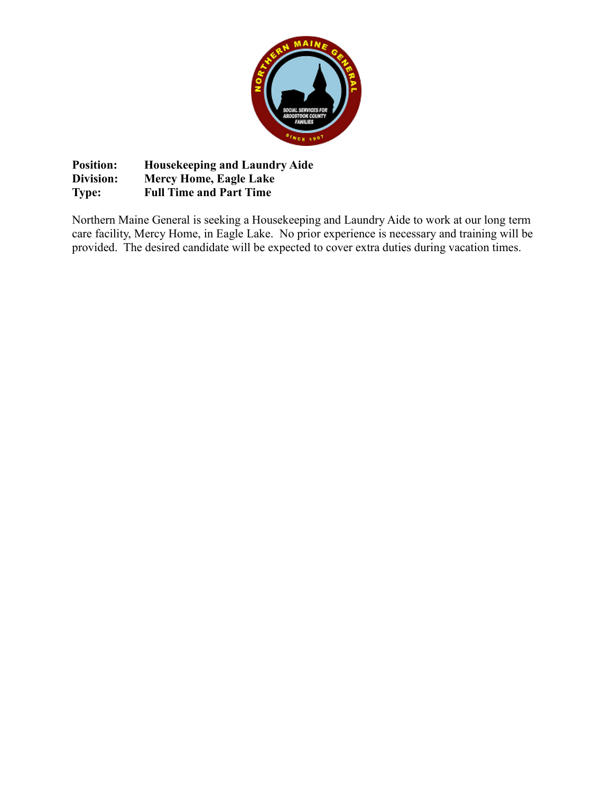

**Position: Housekeeping and Laundry Aide Division: Mercy Home, Eagle Lake Type: Full Time and Part Time** 

Northern Maine General is seeking a Housekeeping and Laundry Aide to work at our long term care facility, Mercy Home, in Eagle Lake. No prior experience is necessary and training will be provided. The desired candidate will be expected to cover extra duties during vacation times.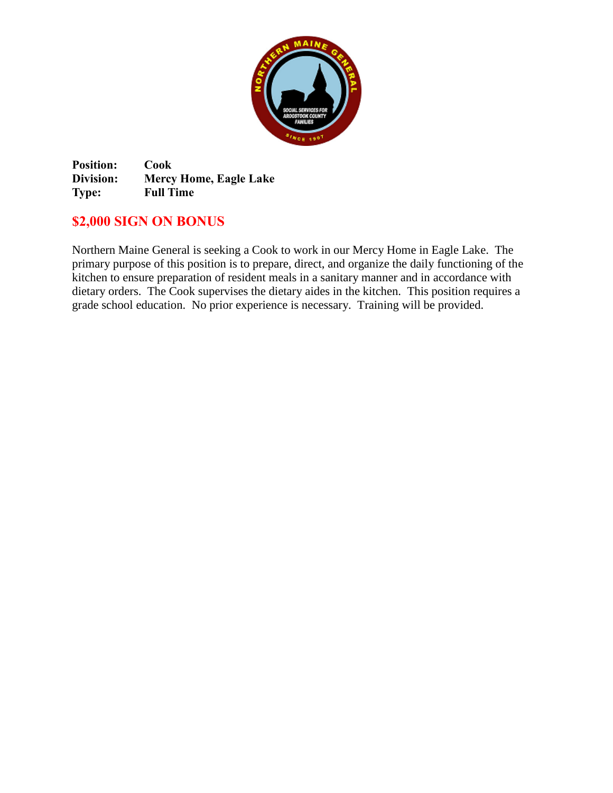

**Position: Cook Division: Mercy Home, Eagle Lake Type: Full Time**

## **\$2,000 SIGN ON BONUS**

Northern Maine General is seeking a Cook to work in our Mercy Home in Eagle Lake. The primary purpose of this position is to prepare, direct, and organize the daily functioning of the kitchen to ensure preparation of resident meals in a sanitary manner and in accordance with dietary orders. The Cook supervises the dietary aides in the kitchen. This position requires a grade school education. No prior experience is necessary. Training will be provided.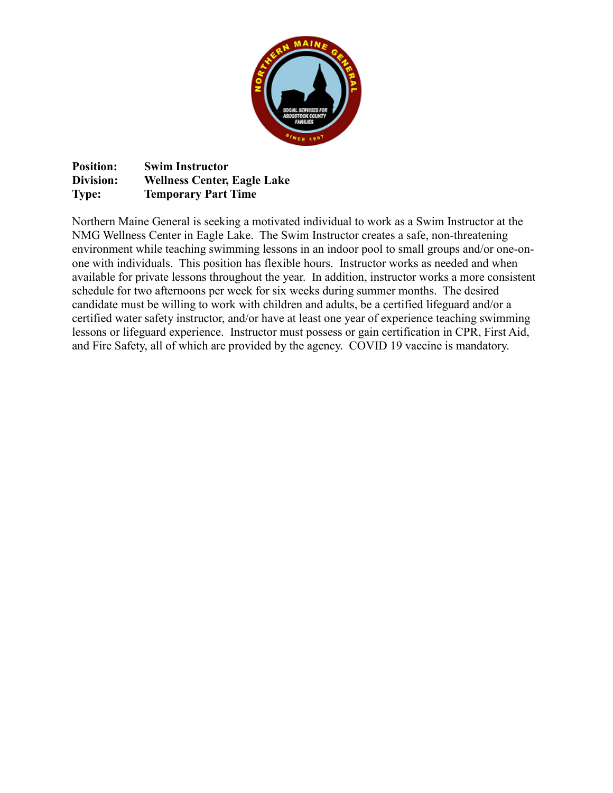

**Position: Swim Instructor Division: Wellness Center, Eagle Lake Type: Temporary Part Time**

Northern Maine General is seeking a motivated individual to work as a Swim Instructor at the NMG Wellness Center in Eagle Lake. The Swim Instructor creates a safe, non-threatening environment while teaching swimming lessons in an indoor pool to small groups and/or one-onone with individuals. This position has flexible hours. Instructor works as needed and when available for private lessons throughout the year. In addition, instructor works a more consistent schedule for two afternoons per week for six weeks during summer months. The desired candidate must be willing to work with children and adults, be a certified lifeguard and/or a certified water safety instructor, and/or have at least one year of experience teaching swimming lessons or lifeguard experience. Instructor must possess or gain certification in CPR, First Aid, and Fire Safety, all of which are provided by the agency. COVID 19 vaccine is mandatory.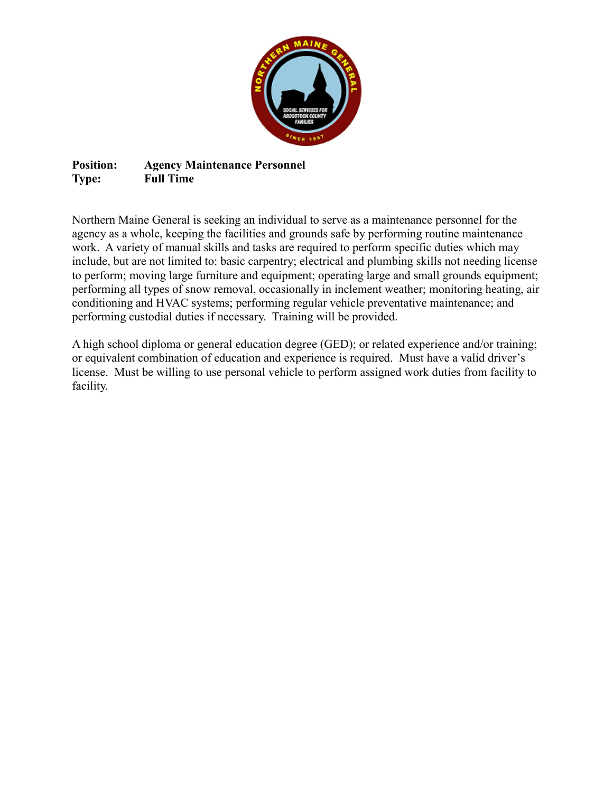

### **Position: Agency Maintenance Personnel Type: Full Time**

Northern Maine General is seeking an individual to serve as a maintenance personnel for the agency as a whole, keeping the facilities and grounds safe by performing routine maintenance work. A variety of manual skills and tasks are required to perform specific duties which may include, but are not limited to: basic carpentry; electrical and plumbing skills not needing license to perform; moving large furniture and equipment; operating large and small grounds equipment; performing all types of snow removal, occasionally in inclement weather; monitoring heating, air conditioning and HVAC systems; performing regular vehicle preventative maintenance; and performing custodial duties if necessary. Training will be provided.

A high school diploma or general education degree (GED); or related experience and/or training; or equivalent combination of education and experience is required. Must have a valid driver's license. Must be willing to use personal vehicle to perform assigned work duties from facility to facility.